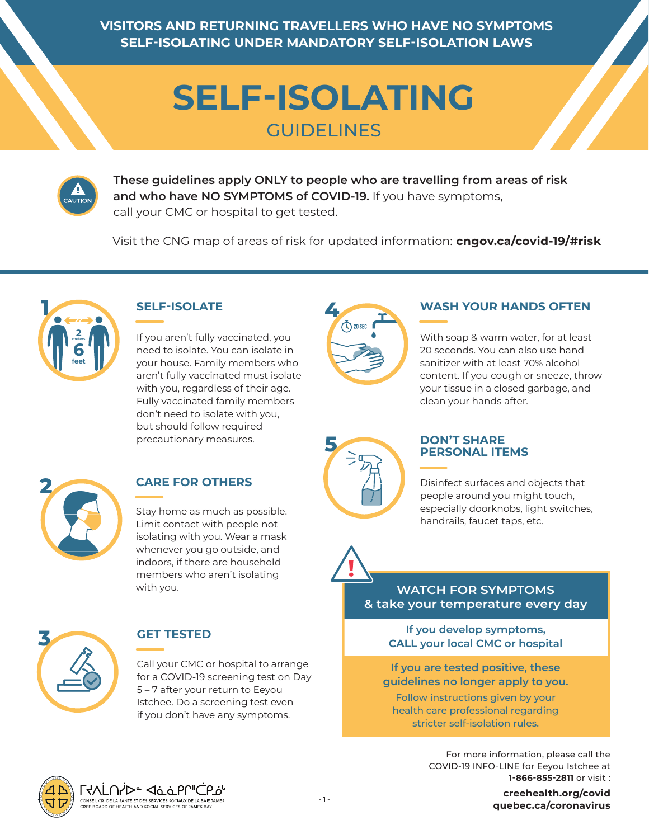**VISITORS AND RETURNING TRAVELLERS WHO HAVE NO SYMPTOMS SELF-ISOLATING UNDER MANDATORY SELF-ISOLATION LAWS**

# **SELF-ISOLATING** GUIDELINES



**These guidelines apply ONLY to people who are travelling from areas of risk and who have NO SYMPTOMS of COVID-19.** If you have symptoms, call your CMC or hospital to get tested.

Visit the CNG map of areas of risk for updated information: **cngov.ca/covid-19/#risk** 



## **SELF-ISOLATE**

If you aren't fully vaccinated, you need to isolate. You can isolate in your house. Family members who aren't fully vaccinated must isolate with you, regardless of their age. Fully vaccinated family members don't need to isolate with you, but should follow required precautionary measures.



#### **WASH YOUR HANDS OFTEN**

With soap & warm water, for at least 20 seconds. You can also use hand sanitizer with at least 70% alcohol content. If you cough or sneeze, throw your tissue in a closed garbage, and clean your hands after.



## **CARE FOR OTHERS**

Stay home as much as possible. Limit contact with people not isolating with you. Wear a mask whenever you go outside, and indoors, if there are household members who aren't isolating with you.



#### **GET TESTED**

Call your CMC or hospital to arrange for a COVID-19 screening test on Day 5 – 7 after your return to Eeyou Istchee. Do a screening test even if you don't have any symptoms.



#### **DON'T SHARE PERSONAL ITEMS**

Disinfect surfaces and objects that people around you might touch, especially doorknobs, light switches, handrails, faucet taps, etc.

## **WATCH FOR SYMPTOMS & take your temperature every day**

**If you develop symptoms, CALL your local CMC or hospital**

**If you are tested positive, these guidelines no longer apply to you.**

Follow instructions given by your health care professional regarding stricter self-isolation rules.

> For more information, please call the COVID-19 INFO-LINE for Eeyou Istchee at **1-866-855-2811** or visit :

**- 1 - https://www.creehealth.org/covid https://www.quebec.ca/coronavirus creehealth.org/covidquebec.ca/coronavirus**



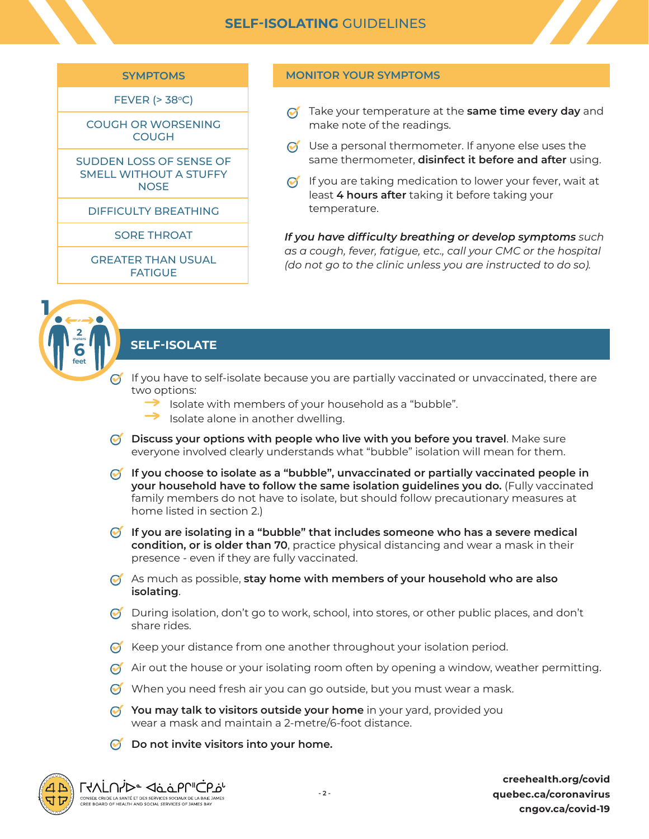

FEVER  $(>38^{\circ}C)$ 

COUGH OR WORSENING **COUGH** 

SUDDEN LOSS OF SENSE OF SMELL WITHOUT A STUFFY **NOSE** 

DIFFICULTY BREATHING

SORE THROAT

GREATER THAN USUAL FATIGUE

#### **MONITOR YOUR SYMPTOMS**

- $\alpha$  Take your temperature at the **same time every day** and make note of the readings.
- $\odot$  Use a personal thermometer. If anyone else uses the same thermometer, **disinfect it before and after** using.
- $\odot$  If you are taking medication to lower your fever, wait at least **4 hours after** taking it before taking your temperature.

*If you have difficulty breathing or develop symptoms such as a cough, fever, fatigue, etc., call your CMC or the hospital (do not go to the clinic unless you are instructed to do so).*



## **SELF-ISOLATE**

- $\odot$  If you have to self-isolate because you are partially vaccinated or unvaccinated, there are two options:
	- $\rightarrow$  Isolate with members of your household as a "bubble".
	- $\rightarrow$  Isolate alone in another dwelling.
- **Discuss your options with people who live with you before you travel**. Make sure everyone involved clearly understands what "bubble" isolation will mean for them.
- **creehealth.org/covidquebec.ca/coronaviruscngov.ca/covid-19SELF-ISOLATING** GUIDELINES **If you choose to isolate as a "bubble", unvaccinated or partially vaccinated people in your household have to follow the same isolation guidelines you do.** (Fully vaccinated family members do not have to isolate, but should follow precautionary measures at home listed in section 2.)
- **If you are isolating in a "bubble" that includes someone who has a severe medical condition, or is older than 70**, practice physical distancing and wear a mask in their presence - even if they are fully vaccinated.
- As much as possible, **stay home with members of your household who are also isolating**.
- $\bullet$  During isolation, don't go to work, school, into stores, or other public places, and don't share rides.
- $\bullet$  Keep your distance from one another throughout your isolation period.
- $\bullet$  Air out the house or your isolating room often by opening a window, weather permitting.
- $\bullet$  When you need fresh air you can go outside, but you must wear a mask.
- *Y* You may talk to visitors outside your home in your yard, provided you wear a mask and maintain a 2-metre/6-foot distance.
- **Do not invite visitors into your home.**



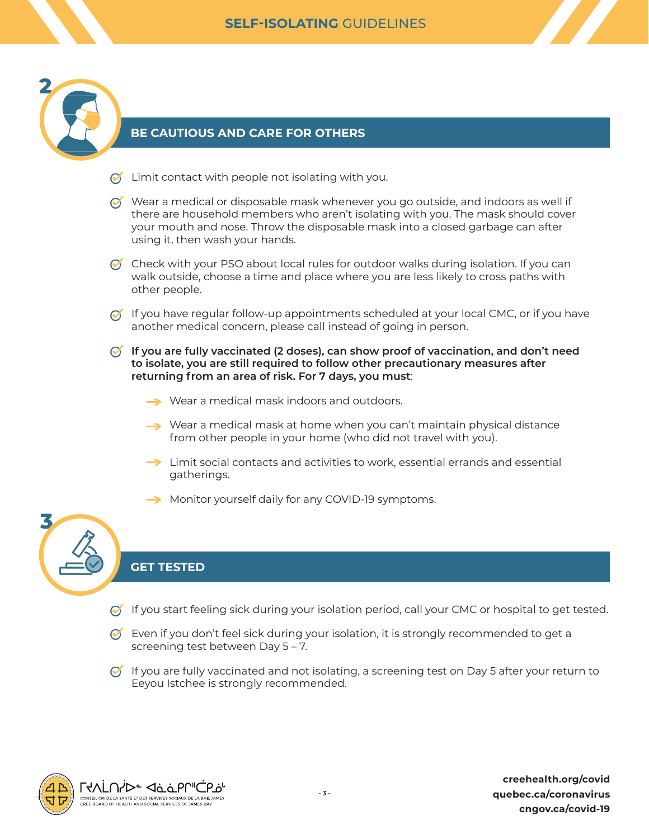

**3**

### **BE CAUTIOUS AND CARE FOR OTHERS**

- $\odot$  Limit contact with people not isolating with you.
- $\bullet$  Wear a medical or disposable mask whenever you go outside, and indoors as well if there are household members who aren't isolating with you. The mask should cover your mouth and nose. Throw the disposable mask into a closed garbage can after using it, then wash your hands.

 $\bullet$  Check with your PSO about local rules for outdoor walks during isolation. If you can walk outside, choose a time and place where you are less likely to cross paths with other people.

- $\bullet$  If you have regular follow-up appointments scheduled at your local CMC, or if you have another medical concern, please call instead of going in person.
- **If you are fully vaccinated (2 doses), can show proof of vaccination, and don't need to isolate, you are still required to follow other precautionary measures after returning from an area of risk. For 7 days, you must**:
	- **→** Wear a medical mask indoors and outdoors.
	- $\rightarrow$  Wear a medical mask at home when you can't maintain physical distance from other people in your home (who did not travel with you).
	- $\rightarrow$  Limit social contacts and activities to work, essential errands and essential gatherings.
	- Monitor yourself daily for any COVID-19 symptoms.

#### **GET TESTED**

- $\bullet$  If you start feeling sick during your isolation period, call your CMC or hospital to get tested.
- $\bullet$  Even if you don't feel sick during your isolation, it is strongly recommended to get a screening test between Day 5 – 7.
- $\bullet$  If you are fully vaccinated and not isolating, a screening test on Day 5 after your return to Eeyou Istchee is strongly recommended.